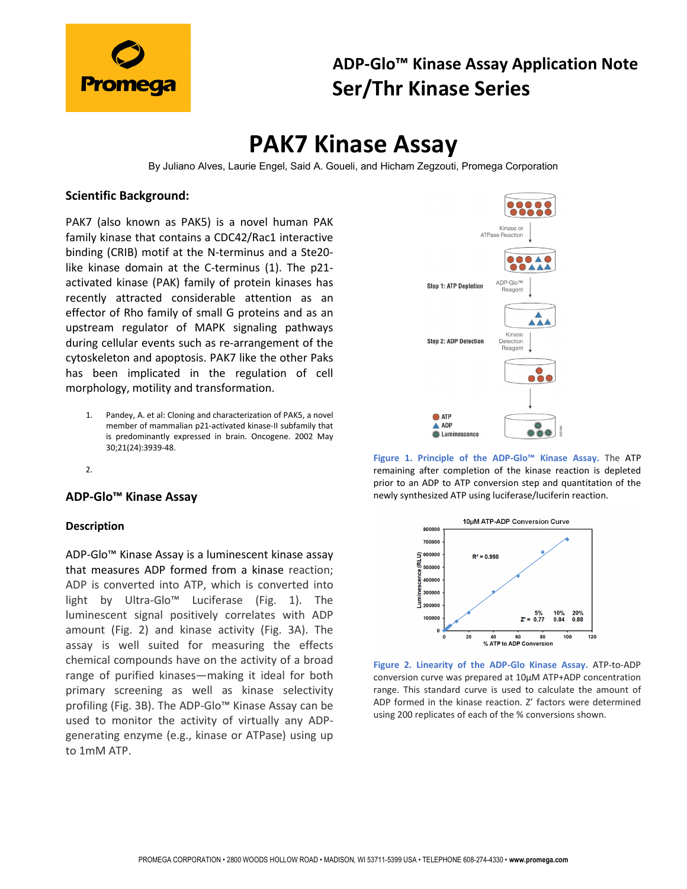

### **ADP-Glo™ Kinase Assay Application Note Ser/Thr Kinase Series**

# **PAK7 Kinase Assay**

By Juliano Alves, Laurie Engel, Said A. Goueli, and Hicham Zegzouti, Promega Corporation

#### **Scientific Background:**

PAK7 (also known as PAK5) is a novel human PAK family kinase that contains a CDC42/Rac1 interactive binding (CRIB) motif at the N-terminus and a Ste20 like kinase domain at the C-terminus (1). The p21 activated kinase (PAK) family of protein kinases has recently attracted considerable attention as an effector of Rho family of small G proteins and as an upstream regulator of MAPK signaling pathways during cellular events such as re-arrangement of the cytoskeleton and apoptosis. PAK7 like the other Paks has been implicated in the regulation of cell morphology, motility and transformation.

- 1. Pandey, A. et al: Cloning and characterization of PAK5, a novel member of mammalian p21-activated kinase-II subfamily that is predominantly expressed in brain. Oncogene. 2002 May 30;21(24):3939-48.
- 2.

#### **ADP-Glo™ Kinase Assay**

#### **Description**

ADP-Glo™ Kinase Assay is a luminescent kinase assay that measures ADP formed from a kinase reaction; ADP is converted into ATP, which is converted into light by Ultra-Glo™ Luciferase (Fig. 1). The luminescent signal positively correlates with ADP amount (Fig. 2) and kinase activity (Fig. 3A). The assay is well suited for measuring the effects chemical compounds have on the activity of a broad range of purified kinases—making it ideal for both primary screening as well as kinase selectivity profiling (Fig. 3B). The ADP-Glo™ Kinase Assay can be used to monitor the activity of virtually any ADPgenerating enzyme (e.g., kinase or ATPase) using up to 1mM ATP.



**Figure 1. Principle of the ADP-Glo™ Kinase Assay.** The ATP remaining after completion of the kinase reaction is depleted prior to an ADP to ATP conversion step and quantitation of the newly synthesized ATP using luciferase/luciferin reaction.



**Figure 2. Linearity of the ADP-Glo Kinase Assay.** ATP-to-ADP conversion curve was prepared at 10µM ATP+ADP concentration range. This standard curve is used to calculate the amount of ADP formed in the kinase reaction. Z' factors were determined using 200 replicates of each of the % conversions shown.